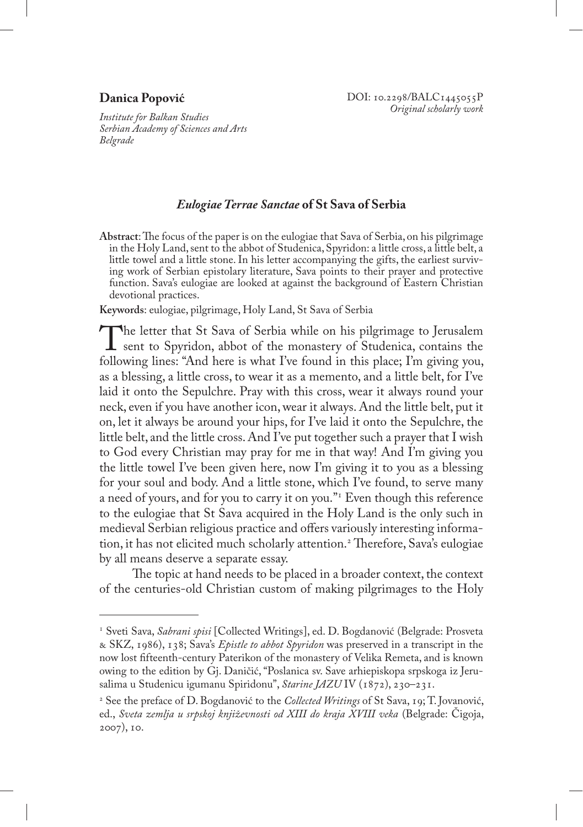## **Danica Popović**

*Institute for Balkan Studies Serbian Academy of Sciences and Arts Belgrade*

## *Eulogiae Terrae Sanctae* **of St Sava of Serbia**

**Abstract**: The focus of the paper is on the eulogiae that Sava of Serbia, on his pilgrimage in the Holy Land, sent to the abbot of Studenica, Spyridon: a little cross, a little belt, a little towel and a little stone. In his letter accompanying the gifts, the earliest surviving work of Serbian epistolary literature, Sava points to their prayer and protective function. Sava's eulogiae are looked at against the background of Eastern Christian devotional practices.

**Keywords**: eulogiae, pilgrimage, Holy Land, St Sava of Serbia

The letter that St Sava of Serbia while on his pilgrimage to Jerusalem<br>sent to Spyridon, abbot of the monastery of Studenica, contains the<br>following lines: "And here is what I've found in this place: I'm giving you. following lines: "And here is what I've found in this place; I'm giving you, as a blessing, a little cross, to wear it as a memento, and a little belt, for I've laid it onto the Sepulchre. Pray with this cross, wear it always round your neck, even if you have another icon, wear it always. And the little belt, put it on, let it always be around your hips, for I've laid it onto the Sepulchre, the little belt, and the little cross. And I've put together such a prayer that I wish to God every Christian may pray for me in that way! And I'm giving you the little towel I've been given here, now I'm giving it to you as a blessing for your soul and body. And a little stone, which I've found, to serve many a need of yours, and for you to carry it on you."<sup>1</sup> Even though this reference to the eulogiae that St Sava acquired in the Holy Land is the only such in medieval Serbian religious practice and offers variously interesting information, it has not elicited much scholarly attention.<sup>2</sup> Therefore, Sava's eulogiae by all means deserve a separate essay.

The topic at hand needs to be placed in a broader context, the context of the centuries-old Christian custom of making pilgrimages to the Holy

<sup>1</sup> Sveti Sava, *Sabrani spisi* [Collected Writings], ed. D. Bogdanović (Belgrade: Prosveta & SKZ, 1986), 138; Sava's *Epistle to abbot Spyridon* was preserved in a transcript in the now lost fifteenth-century Paterikon of the monastery of Velika Remeta, and is known owing to the edition by Gj. Daničić, "Poslanica sv. Save arhiepiskopa srpskoga iz Jerusalima u Studenicu igumanu Spiridonu", *Starine JAZU* IV (1872), 230–231.

<sup>2</sup> See the preface of D. Bogdanović to the *Collected Writings* of St Sava, 19; T. Jovanović, ed., *Sveta zemlja u srpskoj književnosti od XIII do kraja XVIII veka* (Belgrade: Čigoja, 2007), 10.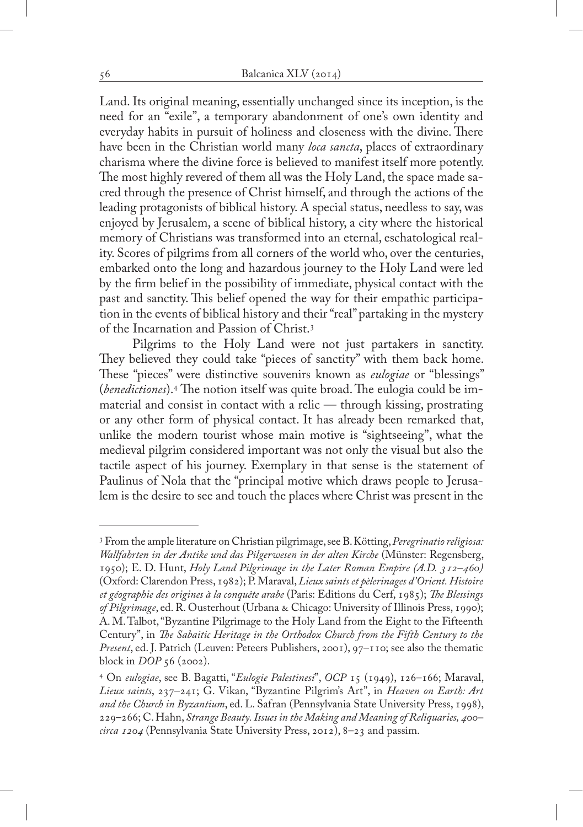Land. Its original meaning, essentially unchanged since its inception, is the need for an "exile", a temporary abandonment of one's own identity and everyday habits in pursuit of holiness and closeness with the divine. There have been in the Christian world many *loca sancta*, places of extraordinary charisma where the divine force is believed to manifest itself more potently. The most highly revered of them all was the Holy Land, the space made sacred through the presence of Christ himself, and through the actions of the leading protagonists of biblical history. A special status, needless to say, was enjoyed by Jerusalem, a scene of biblical history, a city where the historical memory of Christians was transformed into an eternal, eschatological reality. Scores of pilgrims from all corners of the world who, over the centuries, embarked onto the long and hazardous journey to the Holy Land were led by the firm belief in the possibility of immediate, physical contact with the past and sanctity. This belief opened the way for their empathic participation in the events of biblical history and their "real" partaking in the mystery of the Incarnation and Passion of Christ.3

Pilgrims to the Holy Land were not just partakers in sanctity. They believed they could take "pieces of sanctity" with them back home. These "pieces" were distinctive souvenirs known as *eulogiae* or "blessings" (*benedictiones*).4 The notion itself was quite broad. The eulogia could be immaterial and consist in contact with a relic — through kissing, prostrating or any other form of physical contact. It has already been remarked that, unlike the modern tourist whose main motive is "sightseeing", what the medieval pilgrim considered important was not only the visual but also the tactile aspect of his journey. Exemplary in that sense is the statement of Paulinus of Nola that the "principal motive which draws people to Jerusalem is the desire to see and touch the places where Christ was present in the

<sup>3</sup> From the ample literature on Christian pilgrimage, see B. Kötting, *Peregrinatio religiosa: Wallfahrten in der Antike und das Pilgerwesen in der alten Kirche* (Münster: Regensberg, 1950); E. D. Hunt, *Holy Land Pilgrimage in the Later Roman Empire (A.D. 312–460)* (Oxford: Clarendon Press, 1982); P. Maraval, *Lieux saints et pèlerinages d'Orient. Histoire et géographie des origines à la conquête arabe* (Paris: Editions du Cerf, 1985); *The Blessings of Pilgrimage*, ed. R. Ousterhout (Urbana & Chicago: University of Illinois Press, 1990); A. M. Talbot, "Byzantine Pilgrimage to the Holy Land from the Eight to the Fifteenth Century", in *The Sabaitic Heritage in the Orthodox Church from the Fifth Century to the Present*, ed. J. Patrich (Leuven: Peteers Publishers, 2001), 97–110; see also the thematic block in *DOP* 56 (2002).

<sup>4</sup> On *eulogiae*, see B. Bagatti, "*Eulogie Palestinesi*", *OCP* 15 (1949), 126–166; Maraval, *Lieux saints*, 237–241; G. Vikan, "Byzantine Pilgrim's Art", in *Heaven on Earth: Art and the Church in Byzantium*, ed. L. Safran (Pennsylvania State University Press, 1998), 229–266; C. Hahn, *Strange Beauty. Issues in the Making and Meaning of Reliquaries, 400– circa 1204* (Pennsylvania State University Press, 2012), 8–23 and passim.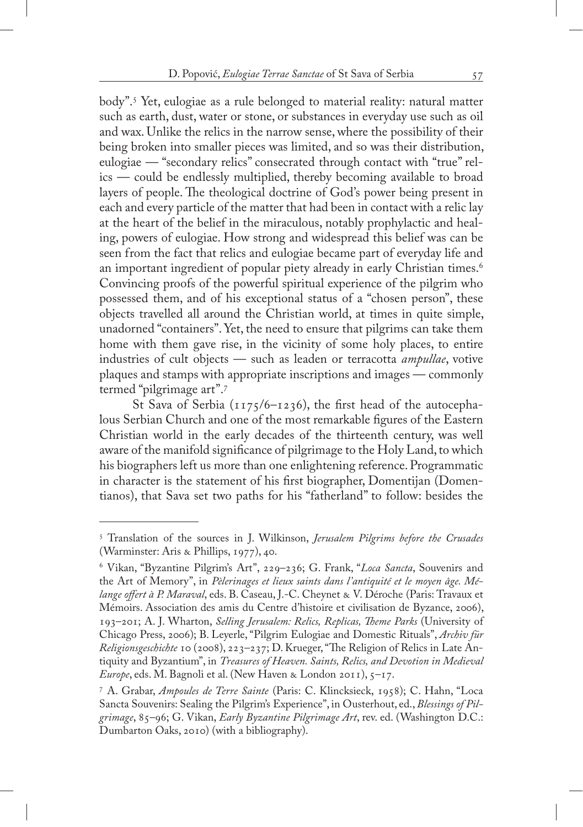body".5 Yet, eulogiae as a rule belonged to material reality: natural matter such as earth, dust, water or stone, or substances in everyday use such as oil and wax. Unlike the relics in the narrow sense, where the possibility of their being broken into smaller pieces was limited, and so was their distribution, eulogiae — "secondary relics" consecrated through contact with "true" relics — could be endlessly multiplied, thereby becoming available to broad layers of people. The theological doctrine of God's power being present in each and every particle of the matter that had been in contact with a relic lay at the heart of the belief in the miraculous, notably prophylactic and healing, powers of eulogiae. How strong and widespread this belief was can be seen from the fact that relics and eulogiae became part of everyday life and an important ingredient of popular piety already in early Christian times.<sup>6</sup> Convincing proofs of the powerful spiritual experience of the pilgrim who possessed them, and of his exceptional status of a "chosen person", these objects travelled all around the Christian world, at times in quite simple, unadorned "containers". Yet, the need to ensure that pilgrims can take them home with them gave rise, in the vicinity of some holy places, to entire industries of cult objects — such as leaden or terracotta *ampullae*, votive plaques and stamps with appropriate inscriptions and images — commonly termed "pilgrimage art".7

St Sava of Serbia ( $1175/6 - 1236$ ), the first head of the autocephalous Serbian Church and one of the most remarkable figures of the Eastern Christian world in the early decades of the thirteenth century, was well aware of the manifold significance of pilgrimage to the Holy Land, to which his biographers left us more than one enlightening reference. Programmatic in character is the statement of his first biographer, Domentijan (Domentianos), that Sava set two paths for his "fatherland" to follow: besides the

<sup>5</sup> Translation of the sources in J. Wilkinson, *Jerusalem Pilgrims before the Crusades* (Warminster: Aris & Phillips, 1977), 40.

<sup>6</sup> Vikan, "Byzantine Pilgrim's Art", 229–236; G. Frank, "*Loca Sancta*, Souvenirs and the Art of Memory", in *Pèlerinages et lieux saints dans l'antiquité et le moyen âge. Mélange offert à P. Maraval*, eds. B. Caseau, J.-C. Cheynet & V. Déroche (Paris: Travaux et Mémoirs. Association des amis du Centre d'histoire et civilisation de Byzance, 2006), 193–201; A. J. Wharton, *Selling Jerusalem: Relics, Replicas, Theme Parks* (University of Chicago Press, 2006); B. Leyerle, "Pilgrim Eulogiae and Domestic Rituals", *Archiv für Religionsgeschichte* 10 (2008), 223–237; D. Krueger, "The Religion of Relics in Late Antiquity and Byzantium", in *Treasures of Heaven. Saints, Relics, and Devotion in Medieval Europe*, eds. M. Bagnoli et al. (New Haven & London 2011), 5–17.

<sup>7</sup> A. Grabar, *Ampoules de Terre Sainte* (Paris: C. Klincksieck, 1958); C. Hahn, "Loca Sancta Souvenirs: Sealing the Pilgrim's Experience", in Ousterhout, ed., *Blessings of Pilgrimage*, 85–96; G. Vikan, *Early Byzantine Pilgrimage Art*, rev. ed. (Washington D.C.: Dumbarton Oaks, 2010) (with a bibliography).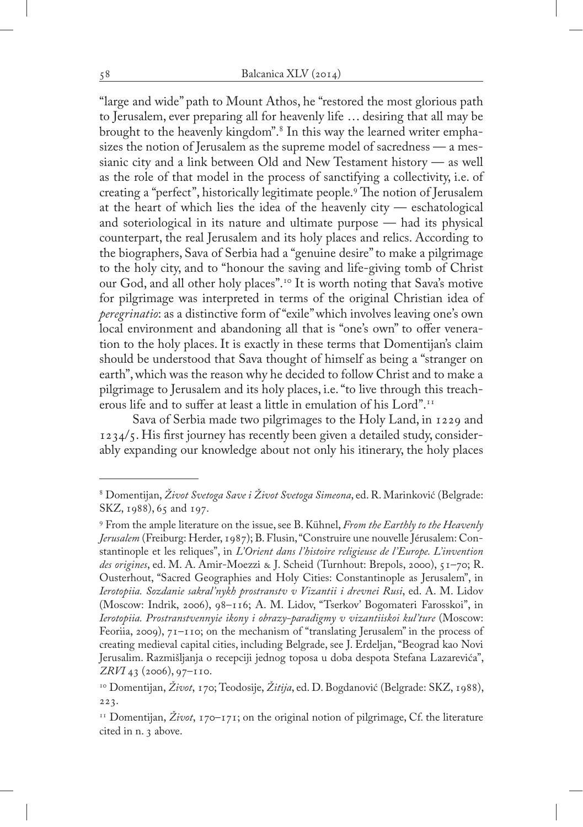"large and wide" path to Mount Athos, he "restored the most glorious path to Jerusalem, ever preparing all for heavenly life … desiring that all may be brought to the heavenly kingdom".<sup>8</sup> In this way the learned writer emphasizes the notion of Jerusalem as the supreme model of sacredness — a messianic city and a link between Old and New Testament history — as well as the role of that model in the process of sanctifying a collectivity, i.e. of creating a "perfect", historically legitimate people.<sup>9</sup> The notion of Jerusalem at the heart of which lies the idea of the heavenly city — eschatological and soteriological in its nature and ultimate purpose — had its physical counterpart, the real Jerusalem and its holy places and relics. According to the biographers, Sava of Serbia had a "genuine desire" to make a pilgrimage to the holy city, and to "honour the saving and life-giving tomb of Christ our God, and all other holy places".10 It is worth noting that Sava's motive for pilgrimage was interpreted in terms of the original Christian idea of *peregrinatio*: as a distinctive form of "exile" which involves leaving one's own local environment and abandoning all that is "one's own" to offer veneration to the holy places. It is exactly in these terms that Domentijan's claim should be understood that Sava thought of himself as being a "stranger on earth", which was the reason why he decided to follow Christ and to make a pilgrimage to Jerusalem and its holy places, i.e. "to live through this treacherous life and to suffer at least a little in emulation of his Lord".11

Sava of Serbia made two pilgrimages to the Holy Land, in 1229 and 1234/5. His first journey has recently been given a detailed study, considerably expanding our knowledge about not only his itinerary, the holy places

<sup>8</sup> Domentijan, *Život Svetoga Save i Život Svetoga Simeona*, ed. R. Marinković (Belgrade: SKZ, 1988), 65 and 197.

<sup>9</sup> From the ample literature on the issue, see B. Kühnel, *From the Earthly to the Heavenly Jerusalem* (Freiburg: Herder, 1987); B. Flusin, "Construire une nouvelle Jérusalem: Constantinople et les reliques", in *L'Orient dans l'histoire religieuse de l'Europe. L'invention des origines*, ed. M. A. Amir-Moezzi & J. Scheid (Turnhout: Brepols, 2000), 51–70; R. Ousterhout, "Sacred Geographies and Holy Cities: Constantinople as Jerusalem", in *Ierotopiia. Sozdanie sakral'nykh prostranstv v Vizantii i drevnei Rusi*, ed. A. M. Lidov (Moscow: Indrik, 2006), 98–116; A. M. Lidov, "Tserkov' Bogomateri Farosskoi", in *Ierotopiia. Prostranstvennyie ikony i obrazy-paradigmy v vizantiiskoi kul'ture* (Moscow: Feoriia, 2009), 71–110; on the mechanism of "translating Jerusalem" in the process of creating medieval capital cities, including Belgrade, see J. Erdeljan, "Beograd kao Novi Jerusalim. Razmišljanja o recepciji jednog toposa u doba despota Stefana Lazarevića", *ZRVI* 43 (2006), 97–110.

<sup>10</sup> Domentijan, *Život*, 170; Teodosije, *Žitija*, ed. D. Bogdanović (Belgrade: SKZ, 1988), 223.

<sup>11</sup> Domentijan, *Život*, 170–171; on the original notion of pilgrimage, Cf. the literature cited in n. 3 above.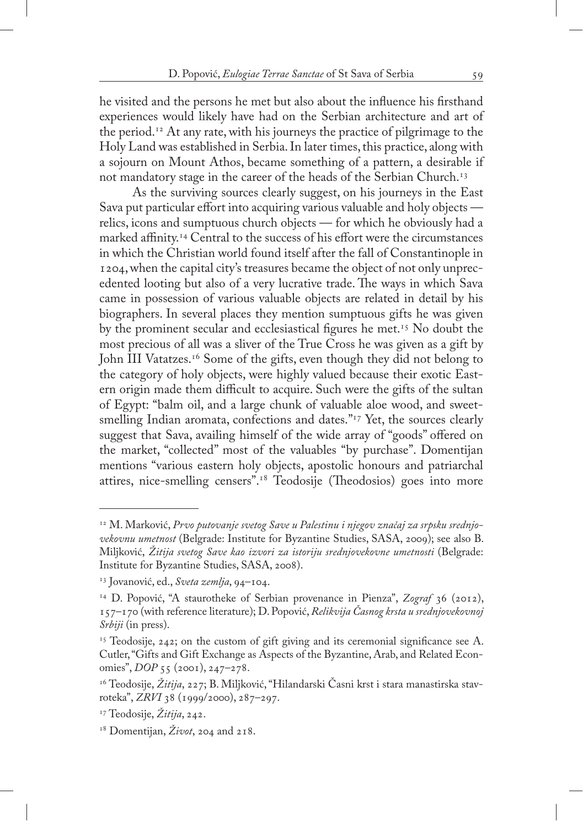he visited and the persons he met but also about the influence his firsthand experiences would likely have had on the Serbian architecture and art of the period.<sup>12</sup> At any rate, with his journeys the practice of pilgrimage to the Holy Land was established in Serbia. In later times, this practice, along with a sojourn on Mount Athos, became something of a pattern, a desirable if not mandatory stage in the career of the heads of the Serbian Church.<sup>13</sup>

As the surviving sources clearly suggest, on his journeys in the East Sava put particular effort into acquiring various valuable and holy objects relics, icons and sumptuous church objects — for which he obviously had a marked affinity.<sup>14</sup> Central to the success of his effort were the circumstances in which the Christian world found itself after the fall of Constantinople in 1204, when the capital city's treasures became the object of not only unprecedented looting but also of a very lucrative trade. The ways in which Sava came in possession of various valuable objects are related in detail by his biographers. In several places they mention sumptuous gifts he was given by the prominent secular and ecclesiastical figures he met.<sup>15</sup> No doubt the most precious of all was a sliver of the True Cross he was given as a gift by John III Vatatzes.<sup>16</sup> Some of the gifts, even though they did not belong to the category of holy objects, were highly valued because their exotic Eastern origin made them difficult to acquire. Such were the gifts of the sultan of Egypt: "balm oil, and a large chunk of valuable aloe wood, and sweetsmelling Indian aromata, confections and dates."<sup>17</sup> Yet, the sources clearly suggest that Sava, availing himself of the wide array of "goods" offered on the market, "collected" most of the valuables "by purchase". Domentijan mentions "various eastern holy objects, apostolic honours and patriarchal attires, nice-smelling censers".18 Teodosije (Theodosios) goes into more

<sup>12</sup> M. Marković, *Prvo putovanje svetog Save u Palestinu i njegov značaj za srpsku srednjovekovnu umetnost* (Belgrade: Institute for Byzantine Studies, SASA, 2009); see also B. Miljković, *Žitija svetog Save kao izvori za istoriju srednjovekovne umetnosti* (Belgrade: Institute for Byzantine Studies, SASA, 2008).

<sup>13</sup> Jovanović, ed., *Sveta zemlja*, 94–104.

<sup>&</sup>lt;sup>14</sup> D. Popović, "A staurotheke of Serbian provenance in Pienza", Zograf 36 (2012), 157–170 (with reference literature); D. Popović, *Relikvija Časnog krsta u srednjovekovnoj Srbiji* (in press).

 $15$  Teodosije, 242; on the custom of gift giving and its ceremonial significance see A. Cutler, "Gifts and Gift Exchange as Aspects of the Byzantine, Arab, and Related Economies", *DOP* 55 (2001), 247–278.

<sup>&</sup>lt;sup>16</sup> Teodosije, *Žitija*, 227; B. Miljković, "Hilandarski Časni krst i stara manastirska stavroteka", *ZRVI* 38 (1999/2000), 287–297.

<sup>17</sup> Teodosije, *Žitija*, 242.

<sup>18</sup> Domentijan, *Život*, 204 and 218.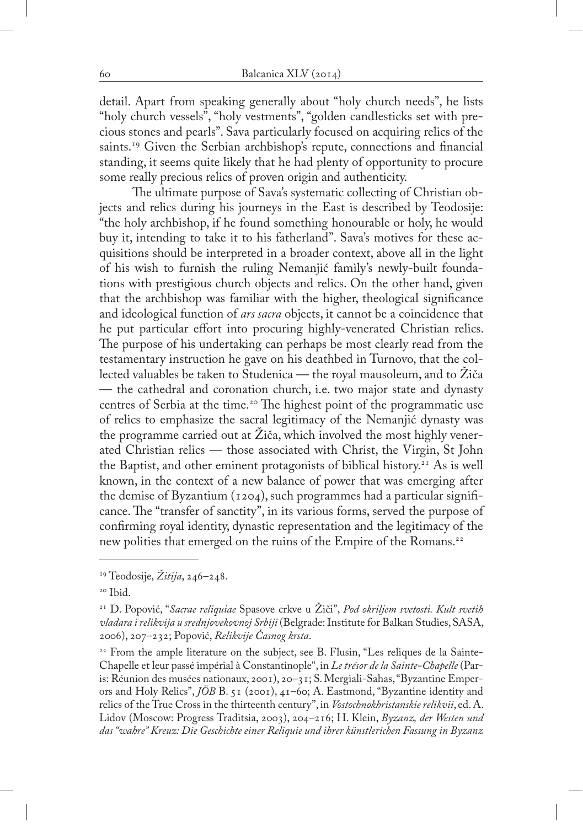detail. Apart from speaking generally about "holy church needs", he lists "holy church vessels", "holy vestments", "golden candlesticks set with precious stones and pearls". Sava particularly focused on acquiring relics of the saints.<sup>19</sup> Given the Serbian archbishop's repute, connections and financial standing, it seems quite likely that he had plenty of opportunity to procure some really precious relics of proven origin and authenticity.

The ultimate purpose of Sava's systematic collecting of Christian objects and relics during his journeys in the East is described by Teodosije: "the holy archbishop, if he found something honourable or holy, he would buy it, intending to take it to his fatherland". Sava's motives for these acquisitions should be interpreted in a broader context, above all in the light of his wish to furnish the ruling Nemanjić family's newly-built foundations with prestigious church objects and relics. On the other hand, given that the archbishop was familiar with the higher, theological significance and ideological function of *ars sacra* objects, it cannot be a coincidence that he put particular effort into procuring highly-venerated Christian relics. The purpose of his undertaking can perhaps be most clearly read from the testamentary instruction he gave on his deathbed in Turnovo, that the collected valuables be taken to Studenica — the royal mausoleum, and to Žiča — the cathedral and coronation church, i.e. two major state and dynasty centres of Serbia at the time.<sup>20</sup> The highest point of the programmatic use of relics to emphasize the sacral legitimacy of the Nemanjić dynasty was the programme carried out at Žiča, which involved the most highly venerated Christian relics — those associated with Christ, the Virgin, St John the Baptist, and other eminent protagonists of biblical history.<sup>21</sup> As is well known, in the context of a new balance of power that was emerging after the demise of Byzantium (1204), such programmes had a particular significance. The "transfer of sanctity", in its various forms, served the purpose of confirming royal identity, dynastic representation and the legitimacy of the new polities that emerged on the ruins of the Empire of the Romans.<sup>22</sup>

<sup>19</sup> Teodosije, *Žitija*, 246–248.

<sup>20</sup> Ibid.

<sup>21</sup> D. Popović, "*Sacrae reliquiae* Spasove crkve u Žiči", *Pod okriljem svetosti. Kult svetih vladara i relikvija u srednjovekovnoj Srbiji* (Belgrade: Institute for Balkan Studies, SASA, 2006), 207–232; Popović, *Relikvije Časnog krsta*.

<sup>&</sup>lt;sup>22</sup> From the ample literature on the subject, see B. Flusin, "Les reliques de la Sainte-Chapelle et leur passé impérial à Constantinople", in *Le trésor de la Sainte-Chapelle* (Paris: Réunion des musées nationaux, 2001), 20–31; S. Mergiali-Sahas, "Byzantine Emperors and Holy Relics", *JÖB* B. 51 (2001), 41–60; A. Eastmond, "Byzantine identity and relics of the True Cross in the thirteenth century", in *Vostochnokhristanskie relikvii*, ed. A. Lidov (Moscow: Progress Traditsia, 2003), 204–216; H. Klein, *Byzanz, der Westen und das "wahre" Kreuz: Die Geschichte einer Reliquie und ihrer künstlerichen Fassung in Byzanz*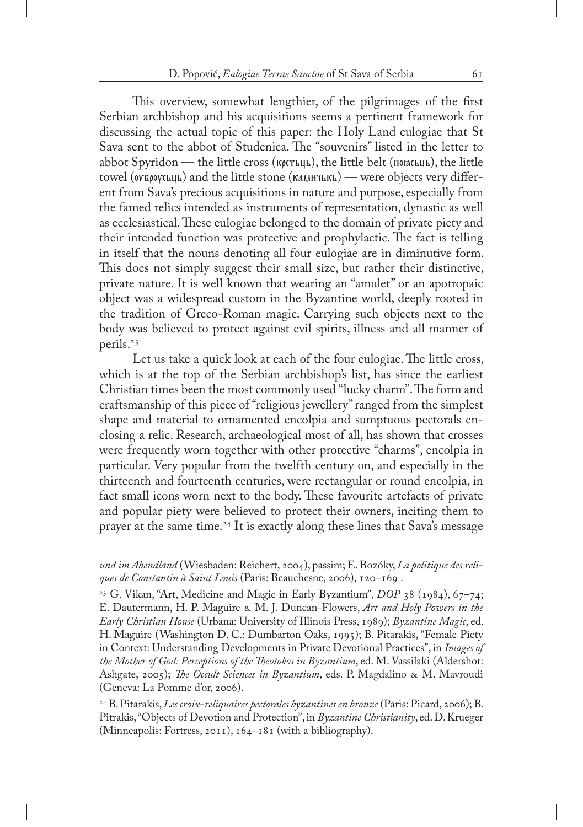This overview, somewhat lengthier, of the pilgrimages of the first Serbian archbishop and his acquisitions seems a pertinent framework for discussing the actual topic of this paper: the Holy Land eulogiae that St Sava sent to the abbot of Studenica. The "souvenirs" listed in the letter to abbot Spyridon — the little cross ( $K\beta$  $K\beta$ <sub>L</sub>), the little belt ( $M\beta$ <sub>L</sub>), the little towel (OVEOOVCLILLET) and the little stone (KAMHTLKLET) — were objects very different from Sava's precious acquisitions in nature and purpose, especially from the famed relics intended as instruments of representation, dynastic as well as ecclesiastical. These eulogiae belonged to the domain of private piety and their intended function was protective and prophylactic. The fact is telling in itself that the nouns denoting all four eulogiae are in diminutive form. This does not simply suggest their small size, but rather their distinctive, private nature. It is well known that wearing an "amulet" or an apotropaic object was a widespread custom in the Byzantine world, deeply rooted in the tradition of Greco-Roman magic. Carrying such objects next to the body was believed to protect against evil spirits, illness and all manner of perils.<sup>23</sup>

Let us take a quick look at each of the four eulogiae. The little cross, which is at the top of the Serbian archbishop's list, has since the earliest Christian times been the most commonly used "lucky charm". The form and craftsmanship of this piece of "religious jewellery" ranged from the simplest shape and material to ornamented encolpia and sumptuous pectorals enclosing a relic. Research, archaeological most of all, has shown that crosses were frequently worn together with other protective "charms", encolpia in particular. Very popular from the twelfth century on, and especially in the thirteenth and fourteenth centuries, were rectangular or round encolpia, in fact small icons worn next to the body. These favourite artefacts of private and popular piety were believed to protect their owners, inciting them to prayer at the same time.24 It is exactly along these lines that Sava's message

*und im Abendland* (Wiesbaden: Reichert, 2004), passim; E. Bozóky, *La politique des reliques de Constantin à Saint Louis* (Paris: Beauchesne, 2006), 120–169 .

<sup>&</sup>lt;sup>23</sup> G. Vikan, "Art, Medicine and Magic in Early Byzantium", *DOP* 38 (1984), 67–74; E. Dautermann, H. P. Maguire & M. J. Duncan-Flowers, *Art and Holy Powers in the Early Christian House* (Urbana: University of Illinois Press, 1989); *Byzantine Magic*, ed. H. Maguire (Washington D. C.: Dumbarton Oaks, 1995); B. Pitarakis, "Female Piety in Context: Understanding Developments in Private Devotional Practices", in *Images of the Mother of God: Perceptions of the Theotokos in Byzantium*, ed. M. Vassilaki (Aldershot: Ashgate, 2005); *The Occult Sciences in Byzantium*, eds. P. Magdalino & M. Mavroudi (Geneva: La Pomme d'or, 2006).

<sup>24</sup> B. Pitarakis, *Les croix-reliquaires pectorales byzantines en bronze* (Paris: Picard, 2006); B. Pitrakis, "Objects of Devotion and Protection", in *Byzantine Christianity*, ed. D. Krueger (Minneapolis: Fortress, 2011), 164–181 (with a bibliography).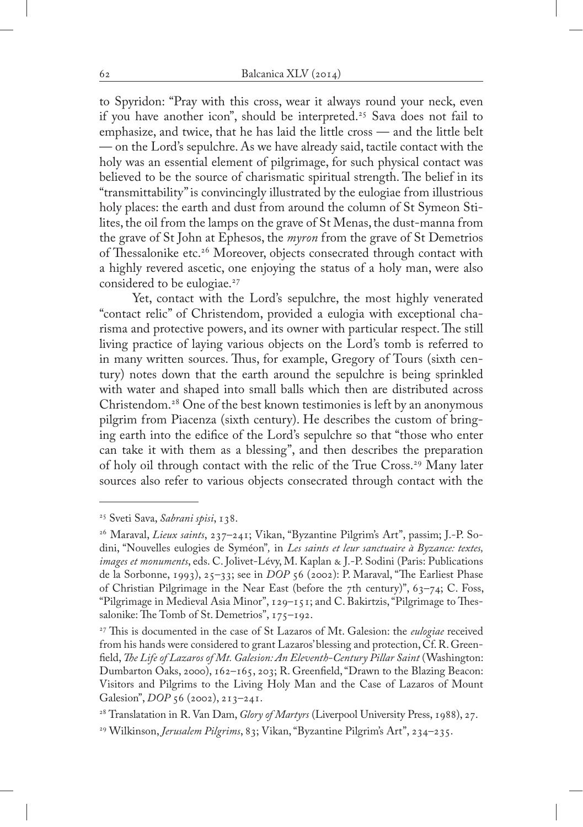to Spyridon: "Pray with this cross, wear it always round your neck, even if you have another icon", should be interpreted.<sup>25</sup> Sava does not fail to emphasize, and twice, that he has laid the little cross — and the little belt — on the Lord's sepulchre. As we have already said, tactile contact with the holy was an essential element of pilgrimage, for such physical contact was believed to be the source of charismatic spiritual strength. The belief in its "transmittability" is convincingly illustrated by the eulogiae from illustrious holy places: the earth and dust from around the column of St Symeon Stilites, the oil from the lamps on the grave of St Menas, the dust-manna from the grave of St John at Ephesos, the *myron* from the grave of St Demetrios of Thessalonike etc.<sup>26</sup> Moreover, objects consecrated through contact with a highly revered ascetic, one enjoying the status of a holy man, were also considered to be eulogiae.<sup>27</sup>

Yet, contact with the Lord's sepulchre, the most highly venerated "contact relic" of Christendom, provided a eulogia with exceptional charisma and protective powers, and its owner with particular respect. The still living practice of laying various objects on the Lord's tomb is referred to in many written sources. Thus, for example, Gregory of Tours (sixth century) notes down that the earth around the sepulchre is being sprinkled with water and shaped into small balls which then are distributed across Christendom.28 One of the best known testimonies is left by an anonymous pilgrim from Piacenza (sixth century). He describes the custom of bringing earth into the edifice of the Lord's sepulchre so that "those who enter can take it with them as a blessing", and then describes the preparation of holy oil through contact with the relic of the True Cross.29 Many later sources also refer to various objects consecrated through contact with the

<sup>25</sup> Sveti Sava, *Sabrani spisi*, 138.

<sup>26</sup> Maraval, *Lieux saints*, 237–241; Vikan, "Byzantine Pilgrim's Art", passim; J.-P. Sodini, "Nouvelles eulogies de Syméon"*,* in *Les saints et leur sanctuaire à Byzance: textes, images et monuments*, eds. C. Jolivet-Lévy, M. Kaplan & J.-P. Sodini (Paris: Publications de la Sorbonne, 1993), 25–33; see in *DOP* 56 (2002): P. Maraval, "The Earliest Phase of Christian Pilgrimage in the Near East (before the 7th century)",  $63-74$ ; C. Foss, "Pilgrimage in Medieval Asia Minor", 129–151; and C. Bakirtzis, "Pilgrimage to Thessalonike: The Tomb of St. Demetrios", 175–192.

<sup>27</sup> This is documented in the case of St Lazaros of Mt. Galesion: the *eulogiae* received from his hands were considered to grant Lazaros' blessing and protection, Cf. R. Greenfield, *The Life of Lazaros of Mt. Galesion: An Eleventh-Century Pillar Saint* (Washington: Dumbarton Oaks, 2000), 162–165, 203; R. Greenfield, "Drawn to the Blazing Beacon: Visitors and Pilgrims to the Living Holy Man and the Case of Lazaros of Mount Galesion", *DOP* 56 (2002), 213-241.

<sup>28</sup> Translatation in R. Van Dam, *Glory of Martyrs* (Liverpool University Press, 1988), 27.

<sup>29</sup> Wilkinson, *Jerusalem Pilgrims*, 83; Vikan, "Byzantine Pilgrim's Art", 234–235.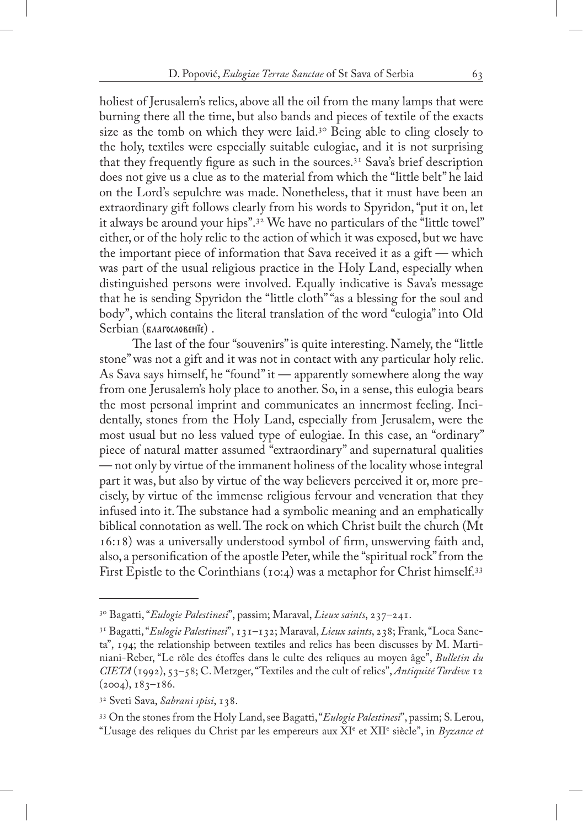holiest of Jerusalem's relics, above all the oil from the many lamps that were burning there all the time, but also bands and pieces of textile of the exacts size as the tomb on which they were laid.<sup>30</sup> Being able to cling closely to the holy, textiles were especially suitable eulogiae, and it is not surprising that they frequently figure as such in the sources.31 Sava's brief description does not give us a clue as to the material from which the "little belt" he laid on the Lord's sepulchre was made. Nonetheless, that it must have been an extraordinary gift follows clearly from his words to Spyridon, "put it on, let it always be around your hips".32 We have no particulars of the "little towel" either, or of the holy relic to the action of which it was exposed, but we have the important piece of information that Sava received it as a gift — which was part of the usual religious practice in the Holy Land, especially when distinguished persons were involved. Equally indicative is Sava's message that he is sending Spyridon the "little cloth" "as a blessing for the soul and body", which contains the literal translation of the word "eulogia" into Old Serbian (BAAFOCAOBEHIE).

The last of the four "souvenirs" is quite interesting. Namely, the "little stone" was not a gift and it was not in contact with any particular holy relic. As Sava says himself, he "found" it — apparently somewhere along the way from one Jerusalem's holy place to another. So, in a sense, this eulogia bears the most personal imprint and communicates an innermost feeling. Incidentally, stones from the Holy Land, especially from Jerusalem, were the most usual but no less valued type of eulogiae. In this case, an "ordinary" piece of natural matter assumed "extraordinary" and supernatural qualities — not only by virtue of the immanent holiness of the locality whose integral part it was, but also by virtue of the way believers perceived it or, more precisely, by virtue of the immense religious fervour and veneration that they infused into it. The substance had a symbolic meaning and an emphatically biblical connotation as well. The rock on which Christ built the church (Mt 16:18) was a universally understood symbol of firm, unswerving faith and, also, a personification of the apostle Peter, while the "spiritual rock" from the First Epistle to the Corinthians (10:4) was a metaphor for Christ himself.<sup>33</sup>

<sup>30</sup> Bagatti, "*Eulogie Palestinesi*", passim; Maraval, *Lieux saints*, 237–241.

<sup>31</sup> Bagatti, "*Eulogie Palestinesi*", 131–132; Maraval, *Lieux saints*, 238; Frank, "Loca Sancta", 194; the relationship between textiles and relics has been discusses by M. Martiniani-Reber, "Le rôle des étoffes dans le culte des reliques au moyen âge", *Bulletin du CIETA* (1992), 53–58; C. Metzger, "Textiles and the cult of relics", *Antiquité Tardive* 12  $(2004), 183 - 186.$ 

<sup>32</sup> Sveti Sava, *Sabrani spisi*, 138.

<sup>33</sup> On the stones from the Holy Land, see Bagatti, "*Eulogie Palestinesi*", passim; S. Lerou,

<sup>&</sup>quot;L'usage des reliques du Christ par les empereurs aux XI<sup>e</sup> et XII<sup>e</sup> siècle", in *Byzance et*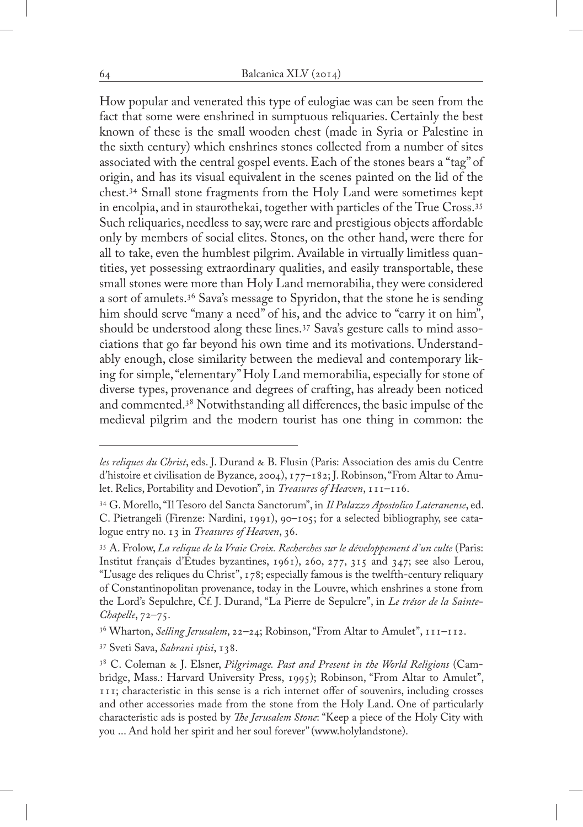How popular and venerated this type of eulogiae was can be seen from the fact that some were enshrined in sumptuous reliquaries. Certainly the best known of these is the small wooden chest (made in Syria or Palestine in the sixth century) which enshrines stones collected from a number of sites associated with the central gospel events. Each of the stones bears a "tag" of origin, and has its visual equivalent in the scenes painted on the lid of the chest.34 Small stone fragments from the Holy Land were sometimes kept in encolpia, and in staurothekai, together with particles of the True Cross.35 Such reliquaries, needless to say, were rare and prestigious objects affordable only by members of social elites. Stones, on the other hand, were there for all to take, even the humblest pilgrim. Available in virtually limitless quantities, yet possessing extraordinary qualities, and easily transportable, these small stones were more than Holy Land memorabilia, they were considered a sort of amulets.36 Sava's message to Spyridon, that the stone he is sending him should serve "many a need" of his, and the advice to "carry it on him", should be understood along these lines.37 Sava's gesture calls to mind associations that go far beyond his own time and its motivations. Understandably enough, close similarity between the medieval and contemporary liking for simple, "elementary" Holy Land memorabilia, especially for stone of diverse types, provenance and degrees of crafting, has already been noticed and commented.38 Notwithstanding all differences, the basic impulse of the medieval pilgrim and the modern tourist has one thing in common: the

*les reliques du Christ*, eds. J. Durand & B. Flusin (Paris: Association des amis du Centre d'histoire et civilisation de Byzance, 2004), 177–182; J. Robinson, "From Altar to Amulet. Relics, Portability and Devotion", in *Treasures of Heaven*, 111–116.

<sup>34</sup> G. Morello, "Il Tesoro del Sancta Sanctorum", in *Il Palazzo Apostolico Lateranense*, ed. C. Pietrangeli (Firenze: Nardini, 1991), 90–105; for a selected bibliography, see catalogue entry no. 13 in *Treasures of Heaven*, 36.

<sup>35</sup> A. Frolow, *La relique de la Vraie Croix. Recherches sur le développement d'un culte* (Paris: Institut français d'Etudes byzantines, 1961), 260, 277, 315 and 347; see also Lerou, "L'usage des reliques du Christ", 178; especially famous is the twelfth-century reliquary of Constantinopolitan provenance, today in the Louvre, which enshrines a stone from the Lord's Sepulchre, Cf. J. Durand, "La Pierre de Sepulcre", in *Le trésor de la Sainte-Chapelle*, 72–75.

<sup>36</sup> Wharton, *Selling Jerusalem*, 22–24; Robinson, "From Altar to Amulet", 111–112.

<sup>37</sup> Sveti Sava, *Sabrani spisi*, 138.

<sup>38</sup> C. Coleman & J. Elsner, *Pilgrimage. Past and Present in the World Religions* (Cambridge, Mass.: Harvard University Press, 1995); Robinson, "From Altar to Amulet", 111; characteristic in this sense is a rich internet offer of souvenirs, including crosses and other accessories made from the stone from the Holy Land. One of particularly characteristic ads is posted by *The Jerusalem Stone*: "Keep a piece of the Holy City with you ... And hold her spirit and her soul forever" (www.holylandstone).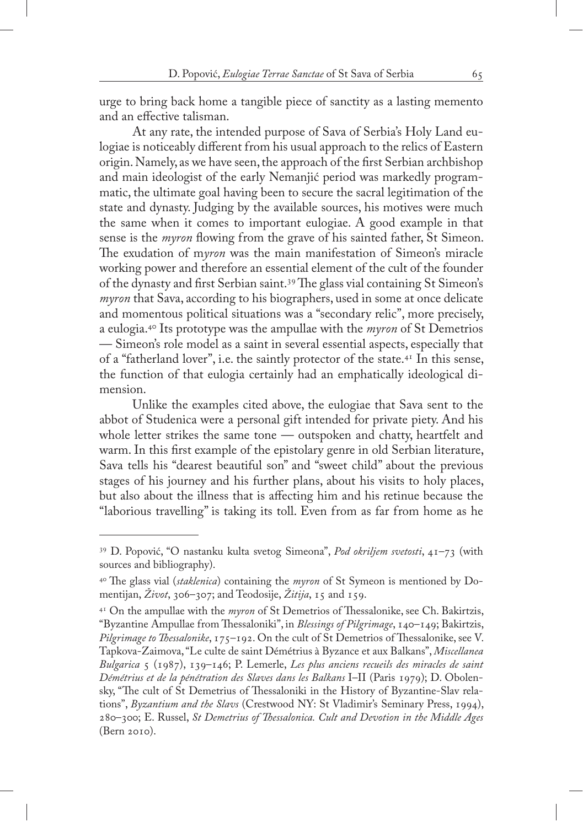urge to bring back home a tangible piece of sanctity as a lasting memento and an effective talisman.

At any rate, the intended purpose of Sava of Serbia's Holy Land eulogiae is noticeably different from his usual approach to the relics of Eastern origin. Namely, as we have seen, the approach of the first Serbian archbishop and main ideologist of the early Nemanjić period was markedly programmatic, the ultimate goal having been to secure the sacral legitimation of the state and dynasty. Judging by the available sources, his motives were much the same when it comes to important eulogiae. A good example in that sense is the *myron* flowing from the grave of his sainted father, St Simeon. The exudation of m*yron* was the main manifestation of Simeon's miracle working power and therefore an essential element of the cult of the founder of the dynasty and first Serbian saint.39 The glass vial containing St Simeon's *myron* that Sava, according to his biographers, used in some at once delicate and momentous political situations was a "secondary relic", more precisely, a eulogia.40 Its prototype was the ampullae with the *myron* of St Demetrios — Simeon's role model as a saint in several essential aspects, especially that of a "fatherland lover", i.e. the saintly protector of the state.41 In this sense, the function of that eulogia certainly had an emphatically ideological dimension.

Unlike the examples cited above, the eulogiae that Sava sent to the abbot of Studenica were a personal gift intended for private piety. And his whole letter strikes the same tone — outspoken and chatty, heartfelt and warm. In this first example of the epistolary genre in old Serbian literature, Sava tells his "dearest beautiful son" and "sweet child" about the previous stages of his journey and his further plans, about his visits to holy places, but also about the illness that is affecting him and his retinue because the "laborious travelling" is taking its toll. Even from as far from home as he

<sup>39</sup> D. Popović, "O nastanku kulta svetog Simeona", *Pod okriljem svetosti*, 41–73 (with sources and bibliography).

<sup>40</sup> The glass vial (*staklenica*) containing the *myron* of St Symeon is mentioned by Domentijan, *Život*, 306–307; and Teodosije, *Žitija*, 15 and 159.

<sup>41</sup> On the ampullae with the *myron* of St Demetrios of Thessalonike, see Ch. Bakirtzis, "Byzantine Ampullae from Thessaloniki", in *Blessings of Pilgrimage*, 140–149; Bakirtzis, *Pilgrimage to Thessalonike*, 175–192. On the cult of St Demetrios of Thessalonike, see V. Tapkova-Zaimova, "Le culte de saint Démétrius à Byzance et aux Balkans", *Miscellanea Bulgarica* 5 (1987), 139–146; P. Lemerle, *Les plus anciens recueils des miracles de saint Démétrius et de la pénétration des Slaves dans les Balkans* I–II (Paris 1979); D. Obolensky, "The cult of St Demetrius of Thessaloniki in the History of Byzantine-Slav relations", *Byzantium and the Slavs* (Crestwood NY: St Vladimir's Seminary Press, 1994), 280–300; E. Russel, *St Demetrius of Thessalonica. Cult and Devotion in the Middle Ages* (Bern 2010).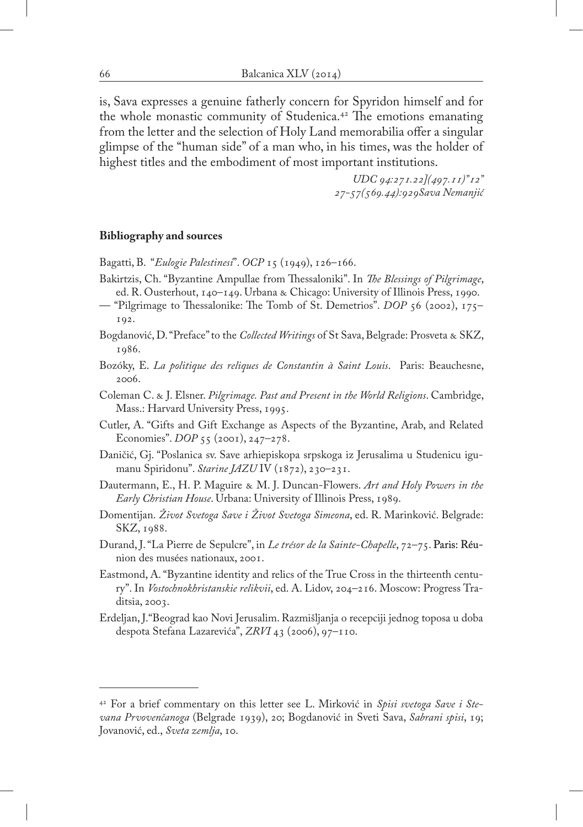is, Sava expresses a genuine fatherly concern for Spyridon himself and for the whole monastic community of Studenica.42 The emotions emanating from the letter and the selection of Holy Land memorabilia offer a singular glimpse of the "human side" of a man who, in his times, was the holder of highest titles and the embodiment of most important institutions.

> *UDC 94:271.22](497.11)"12" 27-57(569.44):929Sava Nemanjić*

## **Bibliography and sources**

Bagatti, B. "*Eulogie Palestinesi*". *OCP* 15 (1949), 126–166.

- Bakirtzis, Ch. "Byzantine Ampullae from Thessaloniki". In *The Blessings of Pilgrimage*, ed. R. Ousterhout, 140–149. Urbana & Chicago: University of Illinois Press, 1990.
- "Pilgrimage to Thessalonike: The Tomb of St. Demetrios". *DOP* 56 (2002), 175– 192.
- Bogdanović, D. "Preface" to the *Collected Writings* of St Sava, Belgrade: Prosveta & SKZ, 1986.
- Bozóky, E. *La politique des reliques de Constantin à Saint Louis*. Paris: Beauchesne, 2006.
- Coleman C. & J. Elsner. *Pilgrimage. Past and Present in the World Religions*. Cambridge, Mass.: Harvard University Press, 1995.
- Cutler, A. "Gifts and Gift Exchange as Aspects of the Byzantine, Arab, and Related Economies". *DOP* 55 (2001), 247–278.
- Daničić, Gj. "Poslanica sv. Save arhiepiskopa srpskoga iz Jerusalima u Studenicu igumanu Spiridonu". *Starine JAZU* IV (1872), 230–231.
- Dautermann, E., H. P. Maguire & M. J. Duncan-Flowers. *Art and Holy Powers in the Early Christian House*. Urbana: University of Illinois Press, 1989.
- Domentijan. *Život Svetoga Save i Život Svetoga Simeona*, ed. R. Marinković. Belgrade: SKZ, 1988.
- Durand, J. "La Pierre de Sepulcre", in *Le trésor de la Sainte-Chapelle*, 72–75. Paris: Réu- Réunion des musées nationaux, 2001.
- Eastmond, A. "Byzantine identity and relics of the True Cross in the thirteenth century". In *Vostochnokhristanskie relikvii*, ed. A. Lidov, 204–216. Moscow: Progress Traditsia, 2003.
- Erdeljan, J."Beograd kao Novi Jerusalim. Razmišljanja o recepciji jednog toposa u doba despota Stefana Lazarevića", *ZRVI* 43 (2006), 97–110.

<sup>42</sup> For a brief commentary on this letter see L. Mirković in *Spisi svetoga Save i Stevana Prvovenčanoga* (Belgrade 1939), 20; Bogdanović in Sveti Sava, *Sabrani spisi*, 19; Jovanović, ed., *Sveta zemlja*, 10.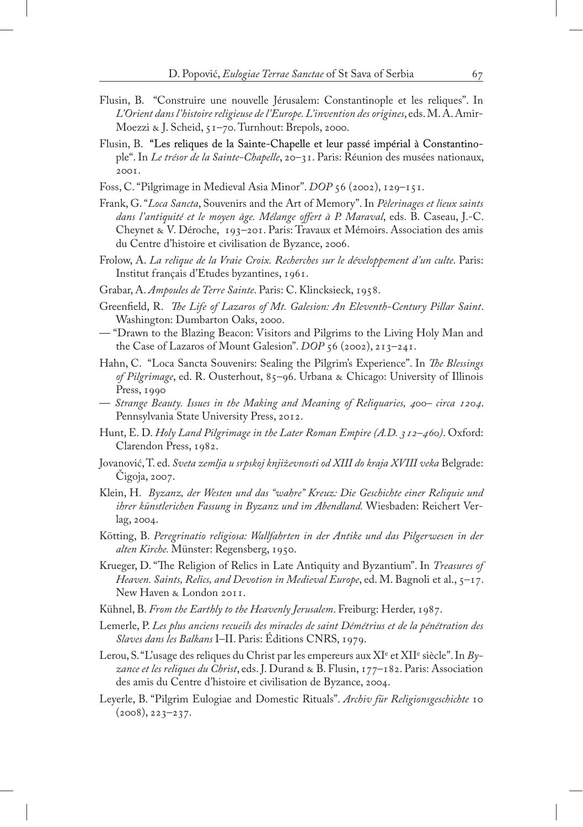- Flusin, B. "Construire une nouvelle Jérusalem: Constantinople et les reliques". In *L'Orient dans l'histoire religieuse de l'Europe. L'invention des origines*, eds. M. A. Amir-Moezzi & J. Scheid, 51–70. Turnhout: Brepols, 2000.
- Flusin, B. "Les reliques de la Sainte-Chapelle et leur passé impérial à Constantinople". In *Le trésor de la Sainte-Chapelle*, 20–31. Paris: Réunion des musées nationaux, 2001.
- Foss, C. "Pilgrimage in Medieval Asia Minor". *DOP* 56 (2002), 129–151.
- Frank, G. "*Loca Sancta*, Souvenirs and the Art of Memory". In *Pèlerinages et lieux saints dans l'antiquité et le moyen âge. Mélange offert à P. Maraval*, eds. B. Caseau, J.-C. Cheynet & V. Déroche, 193–201. Paris: Travaux et Mémoirs. Association des amis du Centre d'histoire et civilisation de Byzance, 2006.
- Frolow, A. *La relique de la Vraie Croix. Recherches sur le développement d'un culte*. Paris: Institut français d'Etudes byzantines, 1961.
- Grabar, A. *Ampoules de Terre Sainte*. Paris: C. Klincksieck, 1958.
- Greenfield, R. *The Life of Lazaros of Mt. Galesion: An Eleventh-Century Pillar Saint*. Washington: Dumbarton Oaks, 2000.
- "Drawn to the Blazing Beacon: Visitors and Pilgrims to the Living Holy Man and the Case of Lazaros of Mount Galesion". *DOP* 56 (2002), 213–241.
- Hahn, C. "Loca Sancta Souvenirs: Sealing the Pilgrim's Experience". In *The Blessings of Pilgrimage*, ed. R. Ousterhout, 85–96. Urbana & Chicago: University of Illinois Press, 1990
- *Strange Beauty. Issues in the Making and Meaning of Reliquaries, 400– circa 1204*. Pennsylvania State University Press, 2012.
- Hunt, E. D. *Holy Land Pilgrimage in the Later Roman Empire (A.D. 312–460)*. Oxford: Clarendon Press, 1982.
- Jovanović, T. ed. *Sveta zemlja u srpskoj književnosti od XIII do kraja XVIII veka* Belgrade: Čigoja, 2007.
- Klein, H. *Byzanz, der Westen und das "wahre" Kreuz: Die Geschichte einer Reliquie und ihrer künstlerichen Fassung in Byzanz und im Abendland.* Wiesbaden: Reichert Verlag, 2004.
- Kötting, B. *Peregrinatio religiosa: Wallfahrten in der Antike und das Pilgerwesen in der alten Kirche.* Münster: Regensberg, 1950.
- Krueger, D. "The Religion of Relics in Late Antiquity and Byzantium". In *Treasures of Heaven. Saints, Relics, and Devotion in Medieval Europe*, ed. M. Bagnoli et al., 5–17. New Haven & London 2011.
- Kühnel, B. *From the Earthly to the Heavenly Jerusalem*. Freiburg: Herder, 1987.
- Lemerle, P. *Les plus anciens recueils des miracles de saint Démétrius et de la pénétration des Slaves dans les Balkans* I–II. Paris: Éditions CNRS, 1979.
- Lerou, S. "L'usage des reliques du Christ par les empereurs aux XI<sup>e</sup> et XII<sup>e</sup> siècle". In *Byzance et les reliques du Christ*, eds. J. Durand & B. Flusin, 177–182. Paris: Association des amis du Centre d'histoire et civilisation de Byzance, 2004.
- Leyerle, B. "Pilgrim Eulogiae and Domestic Rituals". *Archiv für Religionsgeschichte* 10  $(2008), 223 - 237.$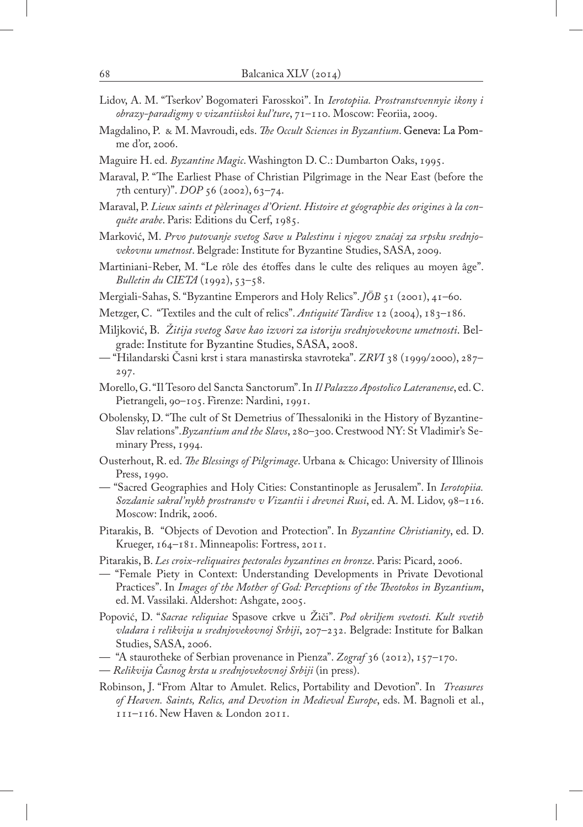- Lidov, A. M. "Tserkov' Bogomateri Farosskoi". In *Ierotopiia. Prostranstvennyie ikony i obrazy-paradigmy v vizantiiskoi kul'ture*, 71–110. Moscow: Feoriia, 2009.
- Magdalino, P. & M. Mavroudi, eds. *The Occult Sciences in Byzantium*. Geneva: La Pomme d'or, 2006.
- Maguire H. ed. *Byzantine Magic*. Washington D. C.: Dumbarton Oaks, 1995.
- Maraval, P. "The Earliest Phase of Christian Pilgrimage in the Near East (before the 7th century)". *DOP* 56 (2002), 63–74.
- Maraval, P. *Lieux saints et pèlerinages d'Orient. Histoire et géographie des origines à la conquête arabe*. Paris: Editions du Cerf, 1985.
- Marković, M. *Prvo putovanje svetog Save u Palestinu i njegov značaj za srpsku srednjovekovnu umetnost*. Belgrade: Institute for Byzantine Studies, SASA, 2009.
- Martiniani-Reber, M. "Le rôle des étoffes dans le culte des reliques au moyen âge". *Bulletin du CIETA* (1992), 53–58.
- Mergiali-Sahas, S. "Byzantine Emperors and Holy Relics". *JÖB* 51 (2001), 41–60.
- Metzger, C. "Textiles and the cult of relics". *Antiquité Tardive* 12 (2004), 183–186.
- Miljković, B. *Žitija svetog Save kao izvori za istoriju srednjovekovne umetnosti*. Belgrade: Institute for Byzantine Studies, SASA, 2008.
- "Hilandarski Časni krst i stara manastirska stavroteka". *ZRVI* 38 (1999/2000), 287– 297.
- Morello, G. "Il Tesoro del Sancta Sanctorum". In *Il Palazzo Apostolico Lateranense*, ed. C. Pietrangeli, 90–105. Firenze: Nardini, 1991.
- Obolensky, D. "The cult of St Demetrius of Thessaloniki in the History of Byzantine-Slav relations".*Byzantium and the Slavs*, 280–300. Crestwood NY: St Vladimir's Seminary Press, 1994.
- Ousterhout, R. ed. *The Blessings of Pilgrimage*. Urbana & Chicago: University of Illinois Press, 1990.
- "Sacred Geographies and Holy Cities: Constantinople as Jerusalem". In *Ierotopiia. Sozdanie sakral'nykh prostranstv v Vizantii i drevnei Rusi*, ed. A. M. Lidov, 98–116. Moscow: Indrik, 2006.
- Pitarakis, B. "Objects of Devotion and Protection". In *Byzantine Christianity*, ed. D. Krueger, 164–181. Minneapolis: Fortress, 2011.
- Pitarakis, B. *Les croix-reliquaires pectorales byzantines en bronze*. Paris: Picard, 2006.
- "Female Piety in Context: Understanding Developments in Private Devotional Practices". In *Images of the Mother of God: Perceptions of the Theotokos in Byzantium*, ed. M. Vassilaki. Aldershot: Ashgate, 2005.
- Popović, D. "*Sacrae reliquiae* Spasove crkve u Žiči". *Pod okriljem svetosti. Kult svetih vladara i relikvija u srednjovekovnoj Srbiji*, 207–232. Belgrade: Institute for Balkan Studies, SASA, 2006.
- "A staurotheke of Serbian provenance in Pienza". *Zograf* 36 (2012), 157–170.
- *Relikvija Časnog krsta u srednjovekovnoj Srbiji* (in press).
- Robinson, J. "From Altar to Amulet. Relics, Portability and Devotion". In *Treasures of Heaven. Saints, Relics, and Devotion in Medieval Europe*, eds. M. Bagnoli et al., 111–116. New Haven & London 2011.